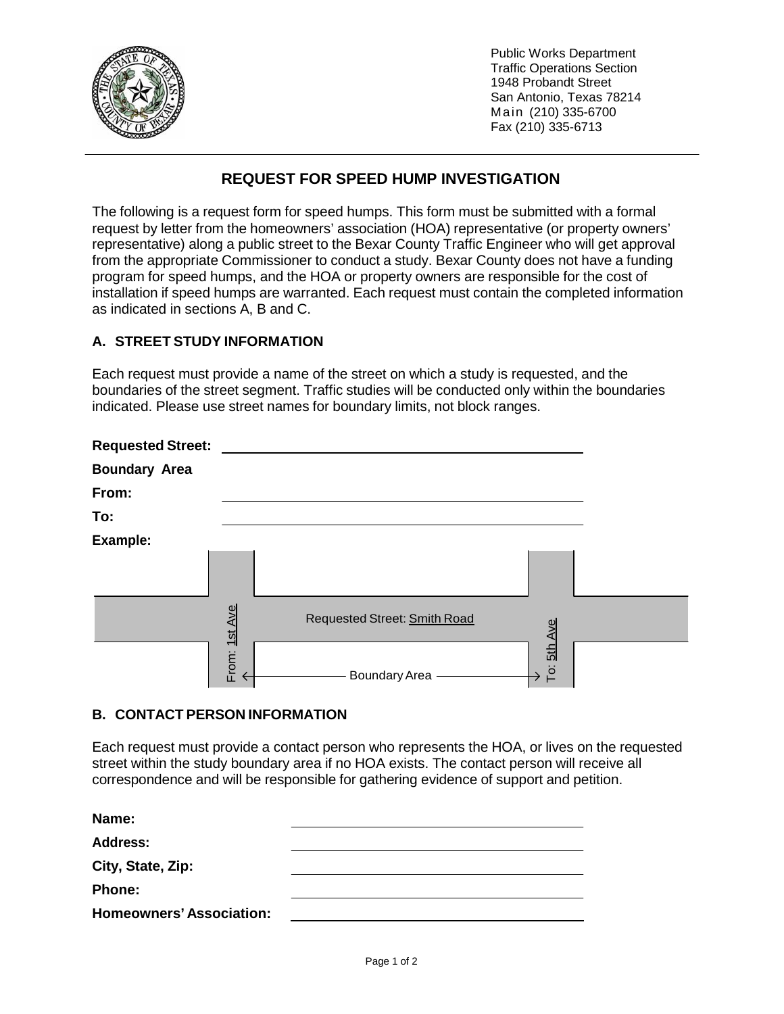

Public Works Department Traffic Operations Section 1948 Probandt Street San Antonio, Texas 78214 Main (210) 335-6700 Fax (210) 335-6713

## **REQUEST FOR SPEED HUMP INVESTIGATION**

The following is a request form for speed humps. This form must be submitted with a formal request by letter from the homeowners' association (HOA) representative (or property owners' representative) along a public street to the Bexar County Traffic Engineer who will get approval from the appropriate Commissioner to conduct a study. Bexar County does not have a funding program for speed humps, and the HOA or property owners are responsible for the cost of installation if speed humps are warranted. Each request must contain the completed information as indicated in sections A, B and C.

## **A. STREET STUDY INFORMATION**

Each request must provide a name of the street on which a study is requested, and the boundaries of the street segment. Traffic studies will be conducted only within the boundaries indicated. Please use street names for boundary limits, not block ranges.

| <b>Requested Street:</b> |                |                                         |  |
|--------------------------|----------------|-----------------------------------------|--|
| <b>Boundary Area</b>     |                |                                         |  |
| From:                    |                |                                         |  |
| To:                      |                |                                         |  |
| Example:                 |                |                                         |  |
|                          |                |                                         |  |
|                          | Ave            | Requested Street: Smith Road<br>Ave     |  |
|                          | From: 1st<br>ᡪ | $\frac{5th}{1}$<br>To:<br>Boundary Area |  |

## **B. CONTACT PERSON INFORMATION**

Each request must provide a contact person who represents the HOA, or lives on the requested street within the study boundary area if no HOA exists. The contact person will receive all correspondence and will be responsible for gathering evidence of support and petition.

|                                                                                                                                                                                                                                                        |               | <b>Requested Street: Smith Road</b> |  |             |
|--------------------------------------------------------------------------------------------------------------------------------------------------------------------------------------------------------------------------------------------------------|---------------|-------------------------------------|--|-------------|
|                                                                                                                                                                                                                                                        | From: 1st Ave | Boundary Area -                     |  | To: 5th Ave |
| <b>B. CONTACT PERSON INFORMATION</b>                                                                                                                                                                                                                   |               |                                     |  |             |
| Each request must provide a contact person who represents the HOA, or lives o<br>street within the study boundary area if no HOA exists. The contact person will re<br>correspondence and will be responsible for gathering evidence of support and pe |               |                                     |  |             |
| Name:                                                                                                                                                                                                                                                  |               |                                     |  |             |
| <b>Address:</b>                                                                                                                                                                                                                                        |               |                                     |  |             |
| City, State, Zip:                                                                                                                                                                                                                                      |               |                                     |  |             |
| <b>Phone:</b>                                                                                                                                                                                                                                          |               |                                     |  |             |
| <b>Homeowners' Association:</b>                                                                                                                                                                                                                        |               |                                     |  |             |